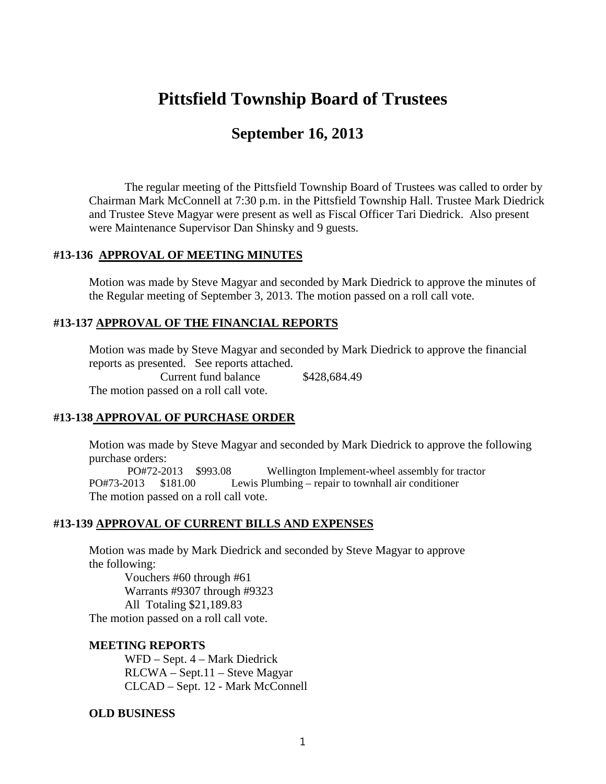# **Pittsfield Township Board of Trustees**

## **September 16, 2013**

The regular meeting of the Pittsfield Township Board of Trustees was called to order by Chairman Mark McConnell at 7:30 p.m. in the Pittsfield Township Hall. Trustee Mark Diedrick and Trustee Steve Magyar were present as well as Fiscal Officer Tari Diedrick. Also present were Maintenance Supervisor Dan Shinsky and 9 guests.

#### **#13-136 APPROVAL OF MEETING MINUTES**

Motion was made by Steve Magyar and seconded by Mark Diedrick to approve the minutes of the Regular meeting of September 3, 2013. The motion passed on a roll call vote.

## **#13-137 APPROVAL OF THE FINANCIAL REPORTS**

Motion was made by Steve Magyar and seconded by Mark Diedrick to approve the financial reports as presented. See reports attached. Current fund balance \$428,684.49

The motion passed on a roll call vote.

#### **#13-138 APPROVAL OF PURCHASE ORDER**

Motion was made by Steve Magyar and seconded by Mark Diedrick to approve the following purchase orders:

PO#72-2013 \$993.08 Wellington Implement-wheel assembly for tractor PO#73-2013 \$181.00 Lewis Plumbing – repair to townhall air conditioner The motion passed on a roll call vote.

#### **#13-139 APPROVAL OF CURRENT BILLS AND EXPENSES**

Motion was made by Mark Diedrick and seconded by Steve Magyar to approve the following:

Vouchers #60 through #61 Warrants #9307 through #9323 All Totaling \$21,189.83 The motion passed on a roll call vote.

#### **MEETING REPORTS**

WFD – Sept. 4 – Mark Diedrick RLCWA – Sept.11 – Steve Magyar CLCAD – Sept. 12 - Mark McConnell

#### **OLD BUSINESS**